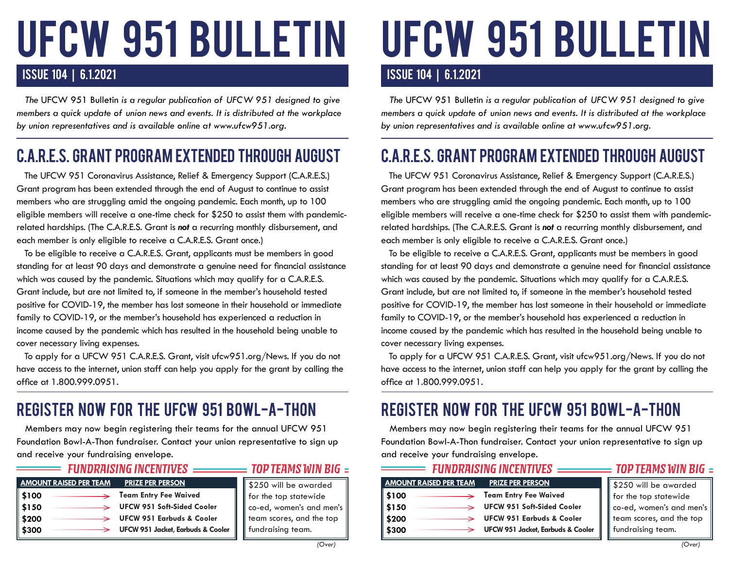# ufcw 951 BULLETIN

#### ISSUE 104 | 6.1.2021

 *The* UFCW 951 Bulletin *is a regular publication of UFCW 951 designed to give members a quick update of union news and events. It is distributed at the workplace by union representatives and is available online at www.ufcw951.org.* 

## C.A.R.E.S. GRANT PROGRAM EXTENDED THROUGH AUGUST

 The UFCW 951 Coronavirus Assistance, Relief & Emergency Support (C.A.R.E.S.) Grant program has been extended through the end of August to continue to assist members who are struggling amid the ongoing pandemic. Each month, up to 100 eligible members will receive a one-time check for \$250 to assist them with pandemicrelated hardships. (The C.A.R.E.S. Grant is *not* a recurring monthly disbursement, and each member is only eligible to receive a C.A.R.E.S. Grant once.)

 To be eligible to receive a C.A.R.E.S. Grant, applicants must be members in good standing for at least 90 days and demonstrate a genuine need for financial assistance which was caused by the pandemic. Situations which may qualify for a C.A.R.E.S. Grant include, but are not limited to, if someone in the member's household tested positive for COVID-19, the member has lost someone in their household or immediate family to COVID-19, or the member's household has experienced a reduction in income caused by the pandemic which has resulted in the household being unable to cover necessary living expenses.

 To apply for a UFCW 951 C.A.R.E.S. Grant, visit ufcw951.org/News. If you do not have access to the internet, union staff can help you apply for the grant by calling the office at 1.800.999.0951.

## REGISTER NOW FOR THE UFCW 951 BOWL-A-THON

 Members may now begin registering their teams for the annual UFCW 951 Foundation Bowl-A-Thon fundraiser. Contact your union representative to sign up and receive your fundraising envelope.

| <b>AMOUNT RAISED PER TEAM</b> | <b>PRIZE PER PERSON</b>              | \$25     |
|-------------------------------|--------------------------------------|----------|
| ∣ \$100                       | <b>Team Entry Fee Waived</b>         | for i    |
| \$150                         | <b>UFCW 951 Soft-Sided Cooler</b>    | $CO - 6$ |
| \$200                         | <b>UFCW 951 Earbuds &amp; Cooler</b> | tear     |
| $^{\circ}$ \$300<br>→         | UFCW 951 Jacket, Earbuds & Cooler    | func     |

*FUNDRAISING INCENTIVES*

#### *TOP TEAMS WIN BIG*

0 will be awarded the top statewide ed, women's and men's m scores, and the top draising team.

#### *(Over)*